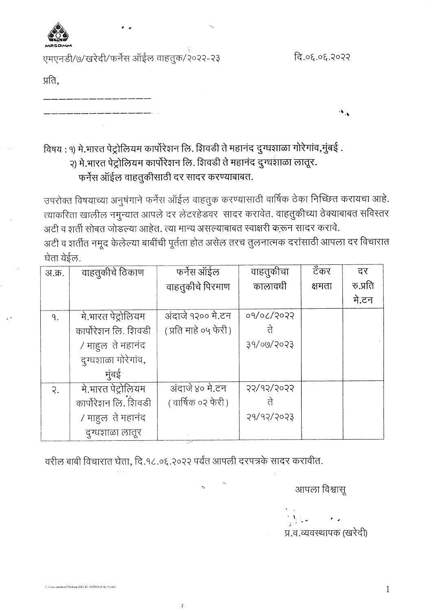

एमएनडी/७/खरेदी/फर्नेस ऑईल वाहतुक/२०२२-२३

दि.०६.०६.२०२२

प्रति,

विषय : १) मे.भारत पेट्रोलियम कार्पोरेशन लि. शिवडी ते महानंद दुग्धशाळा गोरेगांव,मुंबई .

२) मे.भारत पेट्रोलियम कार्पोरेशन लि. शिवडी ते महानंद दुग्धशाळा लातूर. फर्नेस ऑईल वाहतुकीसाठी दर सादर करण्याबाबत.

उपरोक्त विषयाच्या अनुषंगाने फर्नेस ऑईल वाहतुक करण्यासाठी वार्षिक ठेका निच्छित करायचा आहे. त्याकरिता खालील नमुन्यात आपले दर लेटरहेडवर सादर करावेत. वाहतुकीच्या ठेक्याबाबत सविस्तर अटी व शर्ती सोबत जोडल्या आहेत. त्या मान्य असल्याबाबत स्वाक्षरी करून सादर करावे.

अटी व शर्तीत नमूद केलेल्या बाबींची पूर्तता होत असेल तरच तुलनात्मक दरांसाठी आपला दर विचारात घेता येईल.

| अ.क्र.          | वाहतुकीचे ठिकाण      | फर्नेस ऑईल             | वाहतुकीचा  | टॅंकर  | दर       |
|-----------------|----------------------|------------------------|------------|--------|----------|
|                 |                      | वाहतुकीचे पिरमाण       | कालावधी    | क्षमता | रु.प्रति |
|                 |                      |                        |            |        | मे.टन    |
| ٩.              | मे.भारत पेट्रोलियम   | अंदाजे १२०० मे.टन      | ०१/०८/२०२२ |        |          |
|                 | कार्पोरेशन लि. शिवडी | ( प्रति माहे ०५ फेरी ) | ते         |        |          |
|                 | / माहुल ते महानंद    |                        | 39/00/2023 |        |          |
|                 | दुग्धशाळा गोरेगांव,  |                        |            |        |          |
|                 | मुंबई                |                        |            |        |          |
| $\mathcal{R}$ . | मे.भारत पेट्रोलियम   | अंदाजे ४० मे.टन        | 55/d5/5055 |        |          |
|                 | कार्पोरेशन लि. शिवडी | (वार्षिक ०२ फेरी)      |            |        |          |
|                 | / माहल ते महानंद     |                        | 5802/34/5  |        |          |
|                 | दुग्धशाळा लातूर      |                        |            |        |          |

वरील बाबी विचारात घेता, दि.१८.०६.२०२२ पर्यंत आपली दरपत्रके सादर करावीत.

 $\boldsymbol{I}$ 

आपला विश्वासू

प्र.व.व्यवस्थापक (खरेदी)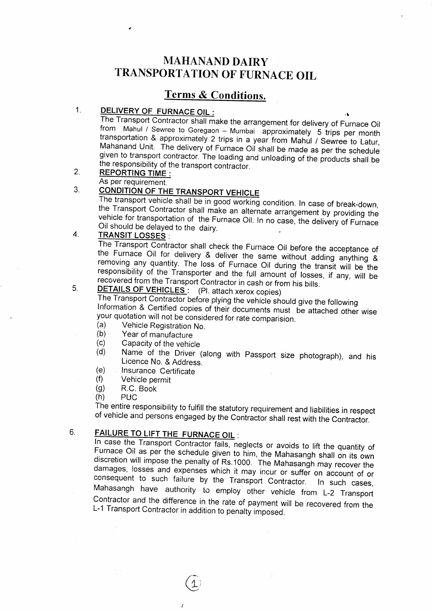# MAHANAND DAIRY TRANSPORTATION OF FURNACE OIL

## **Terms & Conditions.**

### 1. DELIVERY OF FURNACE OIL :

The Transport Contractor shall make the arrangement for delivery of Furnace Oil from Mahul / Sewree to Goregaon – Mumbai approximately 5 trips per month transportation & approximately 2 trips in a year from Mahul / Sewree to Latur, Mahanand Unit. The delivery of Furnace Oil shall be made as per the sc

### REPORTING TIME : 2.

### As per requirement.<br>CONDITION OF THE TRANSPORT VEHICLE 3.

The transport vehicle shall be in good working condition. In case of break-down, the Transport Contractor shall make an alternate arrangement by providing the vehicle for transportation of the Furnace Oil. In no case, the delivery of Furnace Oil should be delayed to the dairy.

## 4.

TRANSIT LOSSES :<br>The Transport Contractor shall check the Furnace Oil before the acceptance of the Furnace Oil for delivery & deliver the same without adding anything & removing any quantity. The loss of Furnace Oil during the transit will be the responsibility of the Transporter and the full amount of losses, if an

## 5.

DETAILS OF VEHICLES: (Pl. attach xerox copies)<br>The Transport Contractor before plying the vehicle should give the following Information & Certified copies of their documents must be attached other wise<br>your quotation will not be considered for rate comparision.<br>(a) Vehicle Registration No.<br>(b) Year of manufacture<br>(c) Capacity of the vehicle<br>(d)

- 
- 
- 
- 
- 
- 
- 
- 

 $\gamma_{\rm{max}}$ 

of vehicle and persons engaged by the Contractor shall rest with the Contractor.

## 6.

FAILURE TO LIFT THE FURNACE OIL :<br>In case the Transport Contractor fails, neglects or avoids to lift the quantity of Furnace Oil as per the schedule given to him, the Mahasangh shall on its own discretion will impose the penalty of Rs.1000. The Mahasangh may recover the damages, losses and expenses which it may incur or suffer on account contractor and the difference in the rate of payment will be recovered from the L-1 Transport contractor in addition to penatty imposeo.

 $\overline{A}$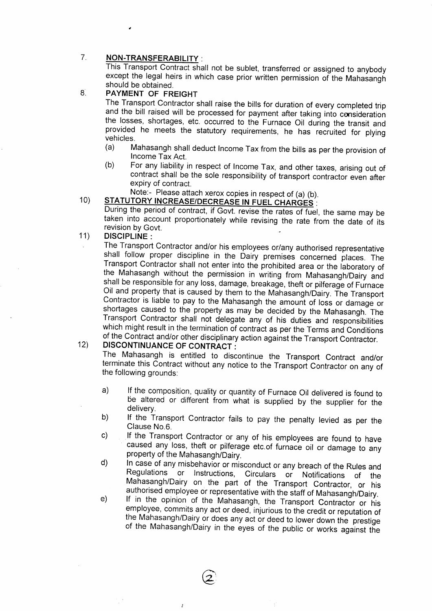#### 7. NON-TRANSFERABILITY :

This Transport Contract shall not be sublet, transferred or assigned to anybody except the legal heirs in which case prior written permission of the Mahasangh should be obtained.

## 8

PAYMENT OF FREIGHT<br>The Transport Contractor shall raise the bills for duration of every completed trip and the bill raised will be processed for payment after taking into consideration the losses, shortages, etc. occurred to the Furnace Oil during the transit and provided he meets the statutory requirements, he has recruite

- (a) Mahasangh shall deduct Income Tax from the bills as per the provision of Income Tax Act.
- (b) For any liability in respect of Income Tax, and other taxes, arising out of contract shall be the sole responsibility of transport contractor even after expiry of contract.

# Note:- Please attach xerox copies in respect of (a) (b).

### 10) STATUTORY INCREASE/DECREASE IN FUEL CHARGES :

During the period of contract, if Govt. revise the rates of fuel, the same may be taken into account proportionately while revising the rate from the date of its revision by Govt.

#### 11) DISCIPLINE :

The Transport Contractor and/or his employees or/any authorised representative shall follow proper discipline in the Dairy premises concerned places. The Transport Contractor shall not enter into the prohibited area or the Oil and property that is caused by them to the Mahasangh/Dairy. The Transport Contractor is liable to pay to the Mahasangh the amount of loss or damage or shortages caused to the property as may be decided by the Mahasangh. The Transport Contractor shall not delegate any of his duties and responsibilities which might result in the termination of contract as per the Terms and Conditions of the Contract and/or other disciplinary action against the Transport Contractor.

### DISCONTINUANCE OF CONTRACT : 12)

The Mahasangh is entitled to discontinue the Transport Contract and/or terminate this Contract without any notice to the Transport Contractor on any of the following grounds:

- a) lf the composition, quality or quantity of Furnace Oil delivered is found to be altered or different from what is supplied by the supplier for the delivery.
- b) If the Transport Contractor fails to pay the penalty levied as per the Clause No.6.
- c) lf the Transport Contractor or any of his employees are found to have caused any loss, theft or pilferage etc.of furnace oil or damage to any
- d)
- d) In case of any misbehavior or misconduct or any breach of the Rules and<br>Regulations or Instructions, Circulars or Notifications of the<br>Mahasangh/Dairy on the part of the Transport Contractor, or his<br>authorised employee

 $\widehat{\mathcal{Z}}$ 

 $\boldsymbol{r}$